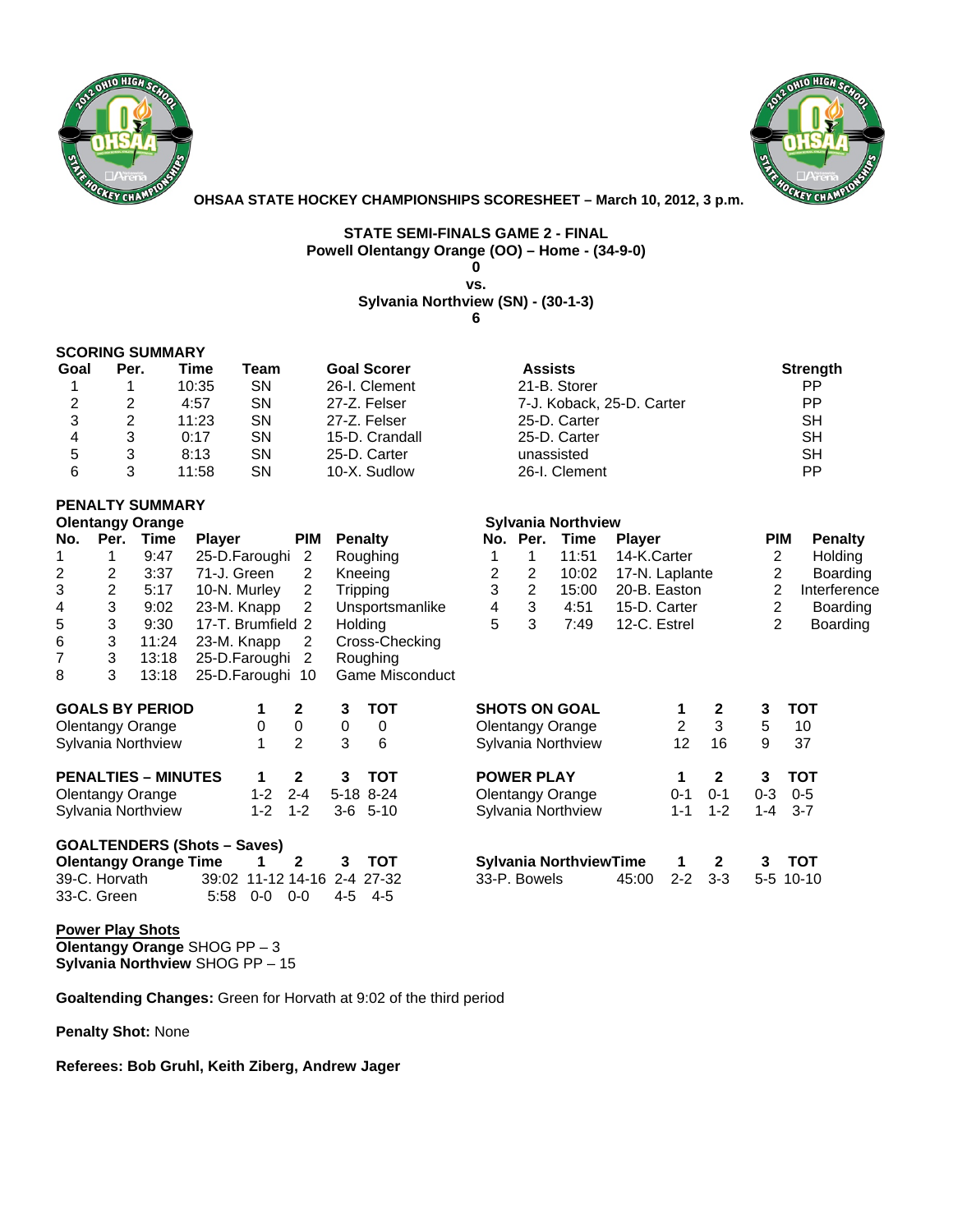



**OHSAA STATE HOCKEY CHAMPIONSHIPS SCORESHEET – March 10, 2012, 3 p.m.** 

#### **STATE SEMI-FINALS GAME 2 - FINAL Powell Olentangy Orange (OO) – Home - (34-9-0) 0**

**vs.** 

## **Sylvania Northview (SN) - (30-1-3)**

**6** 

## **SCORING SUMMARY**

| Goal | Per. | Time  | Team | <b>Goal Scorer</b> | <b>Assists</b>            | <b>Strength</b> |
|------|------|-------|------|--------------------|---------------------------|-----------------|
|      |      | 10:35 | SΝ   | 26-I. Clement      | 21-B. Storer              | PP.             |
| 2    |      | 4:57  | SΝ   | 27-Z. Felser       | 7-J. Koback, 25-D. Carter | PP              |
|      |      | 11:23 | SΝ   | 27-Z. Felser       | 25-D. Carter              | SН              |
| 4    |      | 0:17  | SΝ   | 15-D. Crandall     | 25-D. Carter              | SН              |
| 5    |      | 8:13  | SΝ   | 25-D. Carter       | unassisted                | SН              |
| 6    |      | 11:58 | SΝ   | 10-X. Sudlow       | 26-I. Clement             | РP              |

| 21-B. Storer              | РP        |
|---------------------------|-----------|
| 7-J. Koback, 25-D. Carter | PP        |
| 25-D. Carter              | <b>SH</b> |
| 25-D. Carter              | <b>SH</b> |
| unassisted                | <b>SH</b> |
| 26-I. Clement             | РP        |
|                           |           |

#### **PENALTY SUMMARY Olentangy Orange Sylvania Northview Clentangy Orange Sylvania Northview Clentangle Sylvania Northview**

| No. | Per.          | Time                         | <b>Player</b>                      | <b>PIM</b>     |         | <b>Penalty</b>  |   | No. Per.          | <b>Time</b>                   | <b>Player</b>  |                |                | <b>PIM</b> |            | <b>Penalty</b> |
|-----|---------------|------------------------------|------------------------------------|----------------|---------|-----------------|---|-------------------|-------------------------------|----------------|----------------|----------------|------------|------------|----------------|
|     |               | 9:47                         | 25-D.Faroughi                      | 2              |         | Roughing        |   |                   | 11:51                         | 14-K.Carter    |                |                | 2          |            | Holding        |
| 2   | 2             | 3:37                         | 71-J. Green                        | 2              |         | Kneeing         | 2 | 2                 | 10:02                         | 17-N. Laplante |                |                | 2          |            | Boarding       |
| 3   | 2             | 5:17                         | 10-N. Murley                       | 2              |         | Tripping        | 3 | 2                 | 15:00                         | 20-B. Easton   |                |                | 2          |            | Interference   |
| 4   | 3             | 9:02                         | 23-M. Knapp                        | 2              |         | Unsportsmanlike | 4 | 3                 | 4:51                          | 15-D. Carter   |                |                | 2          |            | Boarding       |
| 5   | 3             | 9:30                         | 17-T. Brumfield 2                  |                | Holding |                 | 5 | 3                 | 7:49                          | 12-C. Estrel   |                |                | 2          |            | Boarding       |
| 6   | 3             | 11:24                        | 23-M. Knapp                        | 2              |         | Cross-Checking  |   |                   |                               |                |                |                |            |            |                |
|     | 3             | 13:18                        | 25-D.Faroughi 2                    |                |         | Roughing        |   |                   |                               |                |                |                |            |            |                |
| 8   | 3             | 13:18                        | 25-D.Faroughi 10                   |                |         | Game Misconduct |   |                   |                               |                |                |                |            |            |                |
|     |               | <b>GOALS BY PERIOD</b>       |                                    | $\mathbf{2}$   | 3       | <b>TOT</b>      |   |                   | <b>SHOTS ON GOAL</b>          |                | 1              | $\mathbf{2}$   | 3          | <b>TOT</b> |                |
|     |               | Olentangy Orange             | 0                                  | 0              | 0       | 0               |   |                   | Olentangy Orange              |                | $\overline{2}$ | 3              | 5          | 10         |                |
|     |               | Sylvania Northview           |                                    | $\overline{2}$ | 3       | 6               |   |                   | Sylvania Northview            |                | 12             | 16             | 9          | 37         |                |
|     |               | <b>PENALTIES - MINUTES</b>   | 1                                  | $\mathbf{2}$   | 3       | <b>TOT</b>      |   | <b>POWER PLAY</b> |                               |                | 1              | $\mathbf{2}$   | 3          | <b>TOT</b> |                |
|     |               | Olentangy Orange             | $1 - 2$                            | $2 - 4$        |         | 5-18 8-24       |   |                   | Olentangy Orange              |                | $0 - 1$        | $0 - 1$        | $0 - 3$    | $0 - 5$    |                |
|     |               | Sylvania Northview           | $1 - 2$                            | $1 - 2$        |         | $3-6$ 5-10      |   |                   | Sylvania Northview            |                | 1-1            | $1 - 2$        | $1 - 4$    | $3 - 7$    |                |
|     |               |                              | <b>GOALTENDERS (Shots - Saves)</b> |                |         |                 |   |                   |                               |                |                |                |            |            |                |
|     |               | <b>Olentangy Orange Time</b> |                                    | $\mathbf{2}$   | 3       | <b>TOT</b>      |   |                   | <b>Sylvania NorthviewTime</b> |                | 1              | $\overline{2}$ | 3          | <b>TOT</b> |                |
|     | 39-C. Horvath |                              | 39:02 11-12 14-16 2-4 27-32        |                |         |                 |   | 33-P. Bowels      |                               | 45:00          | $2 - 2$        | $3 - 3$        |            | 5-5 10-10  |                |

| 1                 | 1 | 11:51                       | 14-K.Carter    |         |              | 2                     |            | Holdin  |
|-------------------|---|-----------------------------|----------------|---------|--------------|-----------------------|------------|---------|
| 2                 | 2 | 10:02                       | 17-N. Laplante |         |              | 2                     |            | Boardi  |
| 3                 | 2 | 15:00                       | 20-B. Easton   |         |              | $\overline{2}$        | Interfere  |         |
| 4                 | 3 | 4:51                        | 15-D. Carter   |         |              | $\mathbf{2}^{\prime}$ |            | Boardi  |
| 5                 | 3 | 7:49                        | 12-C. Estrel   |         |              | $\overline{2}$        |            | Boardir |
|                   |   |                             |                |         |              |                       |            |         |
|                   |   |                             |                |         |              |                       |            |         |
|                   |   | <b>SHOTS ON GOAL</b>        |                | 1       | 2            | 3                     | <b>TOT</b> |         |
|                   |   | Olentangy Orange            |                | 2       | 3            | 5                     | 10         |         |
|                   |   | Sylvania Northview          |                | 12      | 16           | 9                     | 37         |         |
| <b>POWER PLAY</b> |   |                             |                | 1       | $\mathbf{2}$ | 3                     | <b>TOT</b> |         |
|                   |   | Olentangy Orange            |                | $0 - 1$ | 0-1          | $0 - 3$               | $0-5$      |         |
|                   |   | Sylvania Northview          |                | $1 - 1$ | $1 - 2$      | $1 - 4$               | $3 - 7$    |         |
|                   |   | Order and a Marchael and Th |                |         | ^            |                       |            |         |

| Sylvania Northview Filhe |                         | $\mathbf{1}$ $\mathbf{2}$ | 3 IUI |
|--------------------------|-------------------------|---------------------------|-------|
| 33-P. Bowels             | 45:00 2-2 3-3 5-5 10-10 |                           |       |

**Power Play Shots Olentangy Orange** SHOG PP – 3 **Sylvania Northview** SHOG PP – 15

**Goaltending Changes:** Green for Horvath at 9:02 of the third period

**Penalty Shot:** None

**Referees: Bob Gruhl, Keith Ziberg, Andrew Jager**

33-C. Green 5:58 0-0 0-0 4-5 4-5